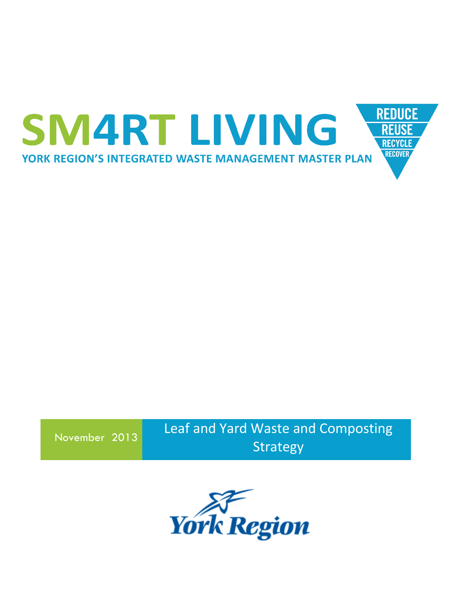

November 2013

Leaf and Yard Waste and Composting Strategy

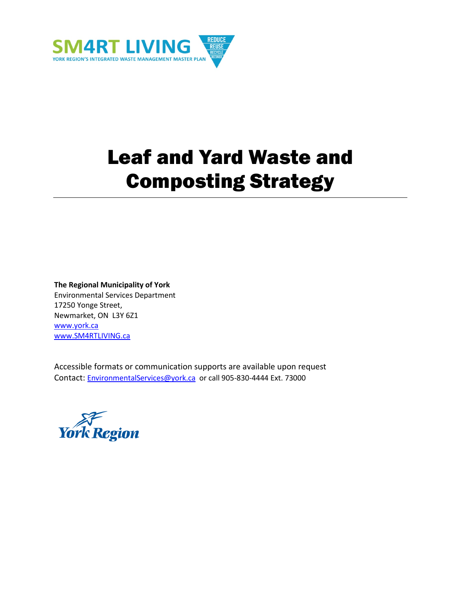

# Leaf and Yard Waste and Composting Strategy

#### **The Regional Municipality of York**

Environmental Services Department 17250 Yonge Street, Newmarket, ON L3Y 6Z1 [www.york.ca](http://www.york.ca/) [www.SM4RTLIVING.ca](http://www.sm4rtliving.ca/)

Accessible formats or communication supports are available upon request Contact: [EnvironmentalServices@york.ca](mailto:EnvironmentalServices@york.ca) or call 905-830-4444 Ext. 73000

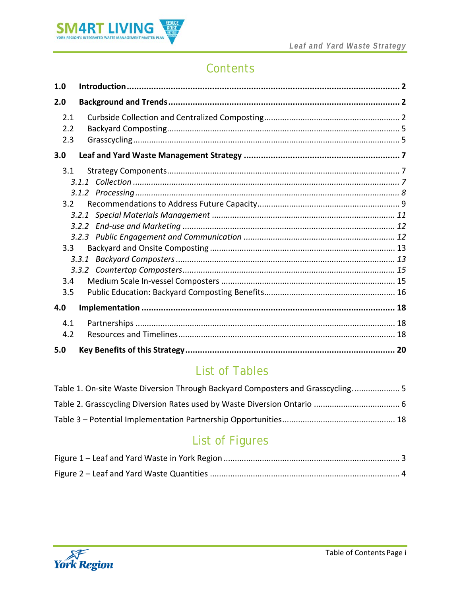

# Contents

| 1.0                                          |  |
|----------------------------------------------|--|
| 2.0                                          |  |
| 2.1<br>2.2<br>2.3                            |  |
| 3.0                                          |  |
| 3.1<br>3.2 <sub>1</sub><br>3.3<br>3.4<br>3.5 |  |
| 4.0                                          |  |
| 4.1<br>4.2                                   |  |
| 5.0                                          |  |

# **List of Tables**

| Table 1. On-site Waste Diversion Through Backyard Composters and Grasscycling 5 |  |
|---------------------------------------------------------------------------------|--|
|                                                                                 |  |
|                                                                                 |  |

# **List of Figures**

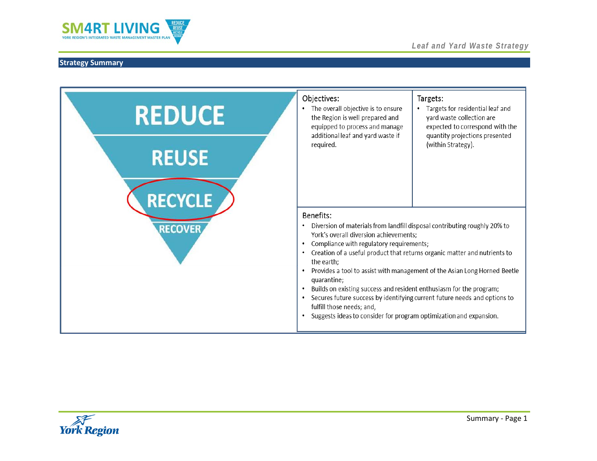

| <b>REDUCE</b>                  | Objectives:<br>The overall objective is to ensure<br>the Region is well prepared and<br>equipped to process and manage<br>additional leaf and yard waste if                                                                                                                                                                                                                                                                                                                                                                                                                                                                               | Targets:<br>Targets for residential leaf and<br>yard waste collection are<br>expected to correspond with the<br>quantity projections presented |
|--------------------------------|-------------------------------------------------------------------------------------------------------------------------------------------------------------------------------------------------------------------------------------------------------------------------------------------------------------------------------------------------------------------------------------------------------------------------------------------------------------------------------------------------------------------------------------------------------------------------------------------------------------------------------------------|------------------------------------------------------------------------------------------------------------------------------------------------|
| <b>REUSE</b><br><b>RECYCLE</b> | required.                                                                                                                                                                                                                                                                                                                                                                                                                                                                                                                                                                                                                                 | (within Strategy).                                                                                                                             |
| <b>RECOVER</b>                 | Benefits:<br>Diversion of materials from landfill disposal contributing roughly 20% to<br>٠<br>York's overall diversion achievements;<br>Compliance with regulatory requirements;<br>Creation of a useful product that returns organic matter and nutrients to<br>٠<br>the earth;<br>Provides a tool to assist with management of the Asian Long Horned Beetle<br>٠<br>quarantine;<br>Builds on existing success and resident enthusiasm for the program;<br>Secures future success by identifying current future needs and options to<br>fulfill those needs; and,<br>Suggests ideas to consider for program optimization and expansion. |                                                                                                                                                |

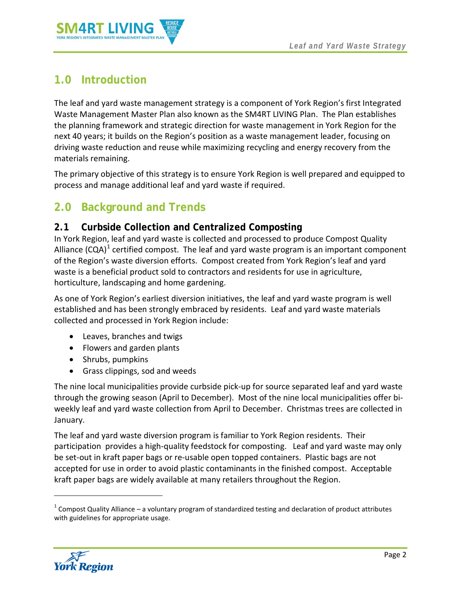

# <span id="page-4-0"></span>**1.0 Introduction**

The leaf and yard waste management strategy is a component of York Region's first Integrated Waste Management Master Plan also known as the SM4RT LIVING Plan. The Plan establishes the planning framework and strategic direction for waste management in York Region for the next 40 years; it builds on the Region's position as a waste management leader, focusing on driving waste reduction and reuse while maximizing recycling and energy recovery from the materials remaining.

The primary objective of this strategy is to ensure York Region is well prepared and equipped to process and manage additional leaf and yard waste if required.

# <span id="page-4-1"></span>**2.0 Background and Trends**

# <span id="page-4-2"></span>**2.1 Curbside Collection and Centralized Composting**

In York Region, leaf and yard waste is collected and processed to produce Compost Quality Alliance (CQA)<sup>[1](#page-4-3)</sup> certified compost. The leaf and yard waste program is an important component of the Region's waste diversion efforts. Compost created from York Region's leaf and yard waste is a beneficial product sold to contractors and residents for use in agriculture, horticulture, landscaping and home gardening.

As one of York Region's earliest diversion initiatives, the leaf and yard waste program is well established and has been strongly embraced by residents. Leaf and yard waste materials collected and processed in York Region include:

- Leaves, branches and twigs
- Flowers and garden plants
- Shrubs, pumpkins
- Grass clippings, sod and weeds

The nine local municipalities provide curbside pick-up for source separated leaf and yard waste through the growing season (April to December). Most of the nine local municipalities offer biweekly leaf and yard waste collection from April to December. Christmas trees are collected in January.

The leaf and yard waste diversion program is familiar to York Region residents. Their participation provides a high-quality feedstock for composting. Leaf and yard waste may only be set-out in kraft paper bags or re-usable open topped containers. Plastic bags are not accepted for use in order to avoid plastic contaminants in the finished compost. Acceptable kraft paper bags are widely available at many retailers throughout the Region.

<span id="page-4-4"></span><span id="page-4-3"></span> $1$  Compost Quality Alliance – a voluntary program of standardized testing and declaration of product attributes with guidelines for appropriate usage.



 $\overline{\phantom{a}}$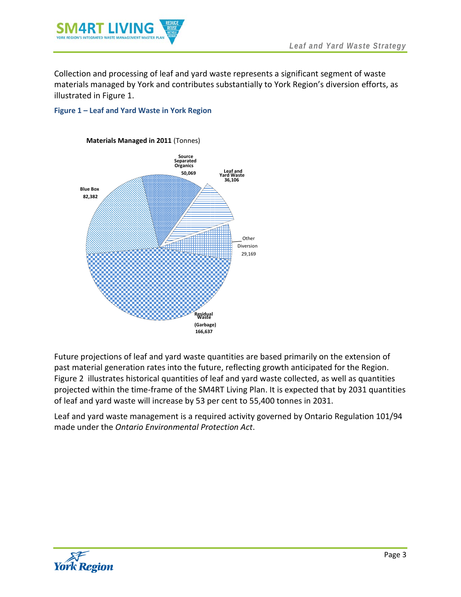

Collection and processing of leaf and yard waste represents a significant segment of waste materials managed by York and contributes substantially to York Region's diversion efforts, as illustrated in [Figure 1.](#page-5-0)

#### <span id="page-5-0"></span>**Figure 1 – Leaf and Yard Waste in York Region**



Future projections of leaf and yard waste quantities are based primarily on the extension of past material generation rates into the future, reflecting growth anticipated for the Region. [Figure 2](#page-6-0) illustrates historical quantities of leaf and yard waste collected, as well as quantities projected within the time-frame of the SM4RT Living Plan. It is expected that by 2031 quantities of leaf and yard waste will increase by 53 per cent to 55,400 tonnes in 2031.

Leaf and yard waste management is a required activity governed by Ontario Regulation 101/94 made under the *Ontario Environmental Protection Act*.

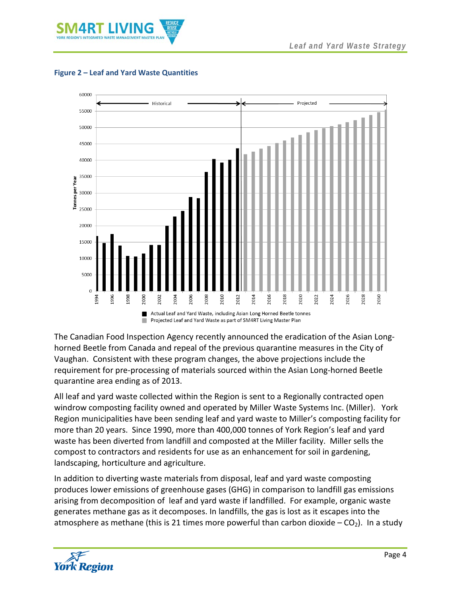



#### <span id="page-6-0"></span>**Figure 2 – Leaf and Yard Waste Quantities**

The Canadian Food Inspection Agency recently announced the eradication of the Asian Longhorned Beetle from Canada and repeal of the previous quarantine measures in the City of Vaughan. Consistent with these program changes, the above projections include the requirement for pre-processing of materials sourced within the Asian Long-horned Beetle quarantine area ending as of 2013.

All leaf and yard waste collected within the Region is sent to a Regionally contracted open windrow composting facility owned and operated by Miller Waste Systems Inc. (Miller). York Region municipalities have been sending leaf and yard waste to Miller's composting facility for more than 20 years. Since 1990, more than 400,000 tonnes of York Region's leaf and yard waste has been diverted from landfill and composted at the Miller facility. Miller sells the compost to contractors and residents for use as an enhancement for soil in gardening, landscaping, horticulture and agriculture.

In addition to diverting waste materials from disposal, leaf and yard waste composting produces lower emissions of greenhouse gases (GHG) in comparison to landfill gas emissions arising from decomposition of leaf and yard waste if landfilled. For example, organic waste generates methane gas as it decomposes. In landfills, the gas is lost as it escapes into the atmosphere as methane (this is 21 times more powerful than carbon dioxide  $-CO<sub>2</sub>$ ). In a study

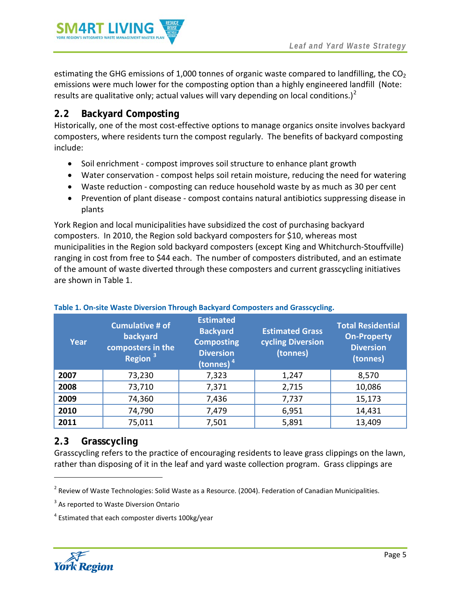

estimating the GHG emissions of 1,000 tonnes of organic waste compared to landfilling, the  $CO<sub>2</sub>$ emissions were much lower for the composting option than a highly engineered landfill (Note: results are qualitative only; actual values will vary depending on local conditions.)<sup>[2](#page-4-4)</sup>

# <span id="page-7-0"></span>**2.2 Backyard Composting**

Historically, one of the most cost-effective options to manage organics onsite involves backyard composters, where residents turn the compost regularly. The benefits of backyard composting include:

- Soil enrichment compost improves soil structure to enhance plant growth
- Water conservation compost helps soil retain moisture, reducing the need for watering
- Waste reduction composting can reduce household waste by as much as 30 per cent
- Prevention of plant disease compost contains natural antibiotics suppressing disease in plants

York Region and local municipalities have subsidized the cost of purchasing backyard composters. In 2010, the Region sold backyard composters for \$10, whereas most municipalities in the Region sold backyard composters (except King and Whitchurch-Stouffville) ranging in cost from free to \$44 each. The number of composters distributed, and an estimate of the amount of waste diverted through these composters and current grasscycling initiatives are shown in [Table 1.](#page-7-3)

| Year | <b>Cumulative # of</b><br>backyard<br>composters in the<br>Region <sup>3</sup> | <b>Estimated</b><br><b>Backyard</b><br><b>Composting</b><br><b>Diversion</b><br>(tonnes) $4$ | <b>Estimated Grass</b><br>cycling Diversion<br>(tonnes) | <b>Total Residential</b><br><b>On-Property</b><br><b>Diversion</b><br>(tonnes) |
|------|--------------------------------------------------------------------------------|----------------------------------------------------------------------------------------------|---------------------------------------------------------|--------------------------------------------------------------------------------|
| 2007 | 73,230                                                                         | 7,323                                                                                        | 1,247                                                   | 8,570                                                                          |
| 2008 | 73,710                                                                         | 7,371                                                                                        | 2,715                                                   | 10,086                                                                         |
| 2009 | 74,360                                                                         | 7,436                                                                                        | 7,737                                                   | 15,173                                                                         |
| 2010 | 74,790                                                                         | 7,479                                                                                        | 6,951                                                   | 14,431                                                                         |
| 2011 | 75,011                                                                         | 7,501                                                                                        | 5,891                                                   | 13,409                                                                         |

#### <span id="page-7-3"></span><span id="page-7-2"></span>**Table 1. On-site Waste Diversion Through Backyard Composters and Grasscycling.**

# <span id="page-7-1"></span>**2.3 Grasscycling**

Grasscycling refers to the practice of encouraging residents to leave grass clippings on the lawn, rather than disposing of it in the leaf and yard waste collection program. Grass clippings are

<span id="page-7-5"></span><span id="page-7-4"></span><sup>4</sup> Estimated that each composter diverts 100kg/year



l

<sup>&</sup>lt;sup>2</sup> Review of Waste Technologies: Solid Waste as a Resource. (2004). Federation of Canadian Municipalities.

<sup>&</sup>lt;sup>3</sup> As reported to Waste Diversion Ontario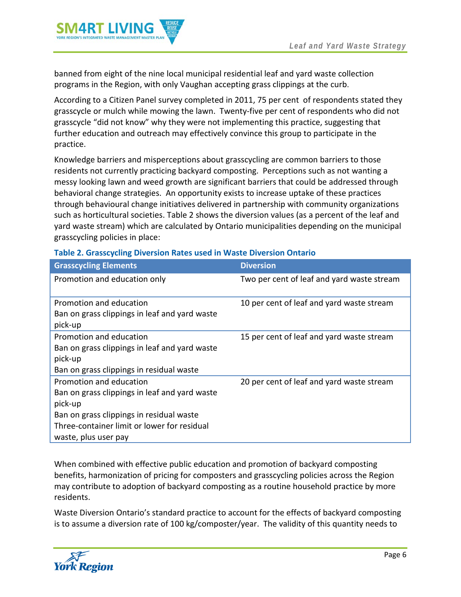

banned from eight of the nine local municipal residential leaf and yard waste collection programs in the Region, with only Vaughan accepting grass clippings at the curb.

According to a Citizen Panel survey completed in 2011, 75 per cent of respondents stated they grasscycle or mulch while mowing the lawn. Twenty-five per cent of respondents who did not grasscycle "did not know" why they were not implementing this practice, suggesting that further education and outreach may effectively convince this group to participate in the practice.

Knowledge barriers and misperceptions about grasscycling are common barriers to those residents not currently practicing backyard composting. Perceptions such as not wanting a messy looking lawn and weed growth are significant barriers that could be addressed through behavioral change strategies. An opportunity exists to increase uptake of these practices through behavioural change initiatives delivered in partnership with community organizations such as horticultural societies[. Table 2](#page-8-0) shows the diversion values (as a percent of the leaf and yard waste stream) which are calculated by Ontario municipalities depending on the municipal grasscycling policies in place:

| <b>Grasscycling Elements</b>                  | <b>Diversion</b>                           |
|-----------------------------------------------|--------------------------------------------|
| Promotion and education only                  | Two per cent of leaf and yard waste stream |
| Promotion and education                       | 10 per cent of leaf and yard waste stream  |
| Ban on grass clippings in leaf and yard waste |                                            |
| pick-up                                       |                                            |
| Promotion and education                       | 15 per cent of leaf and yard waste stream  |
| Ban on grass clippings in leaf and yard waste |                                            |
| pick-up                                       |                                            |
| Ban on grass clippings in residual waste      |                                            |
| Promotion and education                       | 20 per cent of leaf and yard waste stream  |
| Ban on grass clippings in leaf and yard waste |                                            |
| pick-up                                       |                                            |
| Ban on grass clippings in residual waste      |                                            |
| Three-container limit or lower for residual   |                                            |
| waste, plus user pay                          |                                            |

#### <span id="page-8-0"></span>**Table 2. Grasscycling Diversion Rates used in Waste Diversion Ontario**

When combined with effective public education and promotion of backyard composting benefits, harmonization of pricing for composters and grasscycling policies across the Region may contribute to adoption of backyard composting as a routine household practice by more residents.

Waste Diversion Ontario's standard practice to account for the effects of backyard composting is to assume a diversion rate of 100 kg/composter/year. The validity of this quantity needs to

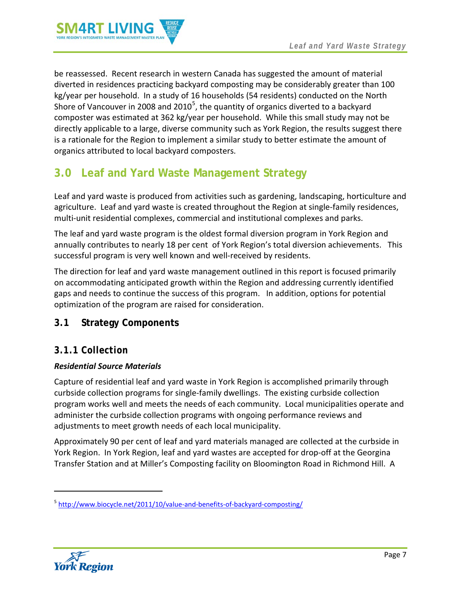

be reassessed. Recent research in western Canada has suggested the amount of material diverted in residences practicing backyard composting may be considerably greater than 100 kg/year per household. In a study of 16 households (54 residents) conducted on the North Shore of Vancouver in 2008 and 2010<sup>[5](#page-7-4)</sup>, the quantity of organics diverted to a backyard composter was estimated at 362 kg/year per household. While this small study may not be directly applicable to a large, diverse community such as York Region, the results suggest there is a rationale for the Region to implement a similar study to better estimate the amount of organics attributed to local backyard composters.

# <span id="page-9-0"></span>**3.0 Leaf and Yard Waste Management Strategy**

Leaf and yard waste is produced from activities such as gardening, landscaping, horticulture and agriculture. Leaf and yard waste is created throughout the Region at single-family residences, multi-unit residential complexes, commercial and institutional complexes and parks.

The leaf and yard waste program is the oldest formal diversion program in York Region and annually contributes to nearly 18 per cent of York Region's total diversion achievements. This successful program is very well known and well-received by residents.

The direction for leaf and yard waste management outlined in this report is focused primarily on accommodating anticipated growth within the Region and addressing currently identified gaps and needs to continue the success of this program. In addition, options for potential optimization of the program are raised for consideration.

# <span id="page-9-1"></span>**3.1 Strategy Components**

### <span id="page-9-2"></span>*3.1.1 Collection*

#### *Residential Source Materials*

Capture of residential leaf and yard waste in York Region is accomplished primarily through curbside collection programs for single-family dwellings. The existing curbside collection program works well and meets the needs of each community. Local municipalities operate and administer the curbside collection programs with ongoing performance reviews and adjustments to meet growth needs of each local municipality.

Approximately 90 per cent of leaf and yard materials managed are collected at the curbside in York Region. In York Region, leaf and yard wastes are accepted for drop-off at the Georgina Transfer Station and at Miller's Composting facility on Bloomington Road in Richmond Hill. A



<span id="page-9-3"></span> $\overline{\phantom{a}}$ 

<sup>&</sup>lt;sup>5</sup> <http://www.biocycle.net/2011/10/value-and-benefits-of-backyard-composting/>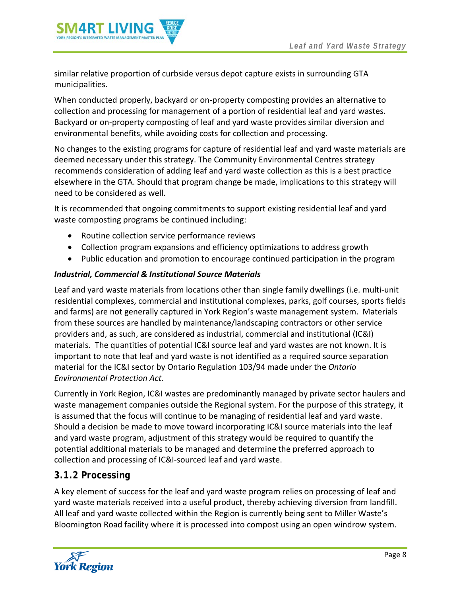

similar relative proportion of curbside versus depot capture exists in surrounding GTA municipalities.

When conducted properly, backyard or on-property composting provides an alternative to collection and processing for management of a portion of residential leaf and yard wastes. Backyard or on-property composting of leaf and yard waste provides similar diversion and environmental benefits, while avoiding costs for collection and processing.

No changes to the existing programs for capture of residential leaf and yard waste materials are deemed necessary under this strategy. The Community Environmental Centres strategy recommends consideration of adding leaf and yard waste collection as this is a best practice elsewhere in the GTA. Should that program change be made, implications to this strategy will need to be considered as well.

It is recommended that ongoing commitments to support existing residential leaf and yard waste composting programs be continued including:

- Routine collection service performance reviews
- Collection program expansions and efficiency optimizations to address growth
- Public education and promotion to encourage continued participation in the program

#### *Industrial, Commercial & Institutional Source Materials*

Leaf and yard waste materials from locations other than single family dwellings (i.e. multi-unit residential complexes, commercial and institutional complexes, parks, golf courses, sports fields and farms) are not generally captured in York Region's waste management system. Materials from these sources are handled by maintenance/landscaping contractors or other service providers and, as such, are considered as industrial, commercial and institutional (IC&I) materials. The quantities of potential IC&I source leaf and yard wastes are not known. It is important to note that leaf and yard waste is not identified as a required source separation material for the IC&I sector by Ontario Regulation 103/94 made under the *Ontario Environmental Protection Act.* 

Currently in York Region, IC&I wastes are predominantly managed by private sector haulers and waste management companies outside the Regional system. For the purpose of this strategy, it is assumed that the focus will continue to be managing of residential leaf and yard waste. Should a decision be made to move toward incorporating IC&I source materials into the leaf and yard waste program, adjustment of this strategy would be required to quantify the potential additional materials to be managed and determine the preferred approach to collection and processing of IC&I-sourced leaf and yard waste.

### <span id="page-10-0"></span>*3.1.2 Processing*

A key element of success for the leaf and yard waste program relies on processing of leaf and yard waste materials received into a useful product, thereby achieving diversion from landfill. All leaf and yard waste collected within the Region is currently being sent to Miller Waste's Bloomington Road facility where it is processed into compost using an open windrow system.

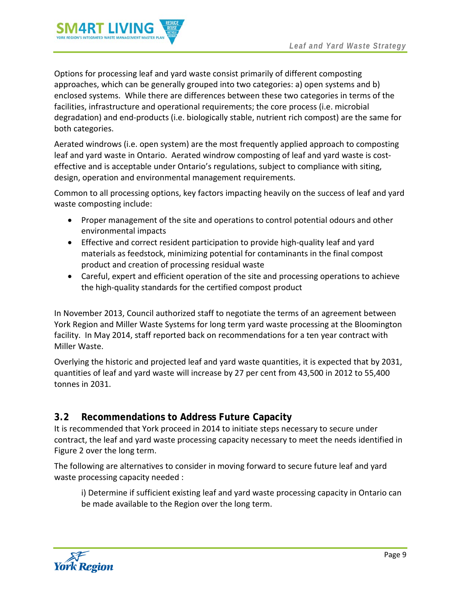

Options for processing leaf and yard waste consist primarily of different composting approaches, which can be generally grouped into two categories: a) open systems and b) enclosed systems. While there are differences between these two categories in terms of the facilities, infrastructure and operational requirements; the core process (i.e. microbial degradation) and end-products (i.e. biologically stable, nutrient rich compost) are the same for both categories.

Aerated windrows (i.e. open system) are the most frequently applied approach to composting leaf and yard waste in Ontario. Aerated windrow composting of leaf and yard waste is costeffective and is acceptable under Ontario's regulations, subject to compliance with siting, design, operation and environmental management requirements.

Common to all processing options, key factors impacting heavily on the success of leaf and yard waste composting include:

- Proper management of the site and operations to control potential odours and other environmental impacts
- Effective and correct resident participation to provide high-quality leaf and yard materials as feedstock, minimizing potential for contaminants in the final compost product and creation of processing residual waste
- Careful, expert and efficient operation of the site and processing operations to achieve the high-quality standards for the certified compost product

In November 2013, Council authorized staff to negotiate the terms of an agreement between York Region and Miller Waste Systems for long term yard waste processing at the Bloomington facility. In May 2014, staff reported back on recommendations for a ten year contract with Miller Waste.

Overlying the historic and projected leaf and yard waste quantities, it is expected that by 2031, quantities of leaf and yard waste will increase by 27 per cent from 43,500 in 2012 to 55,400 tonnes in 2031.

# <span id="page-11-0"></span>**3.2 Recommendations to Address Future Capacity**

It is recommended that York proceed in 2014 to initiate steps necessary to secure under contract, the leaf and yard waste processing capacity necessary to meet the needs identified in Figure 2 over the long term.

The following are alternatives to consider in moving forward to secure future leaf and yard waste processing capacity needed :

i) Determine if sufficient existing leaf and yard waste processing capacity in Ontario can be made available to the Region over the long term.

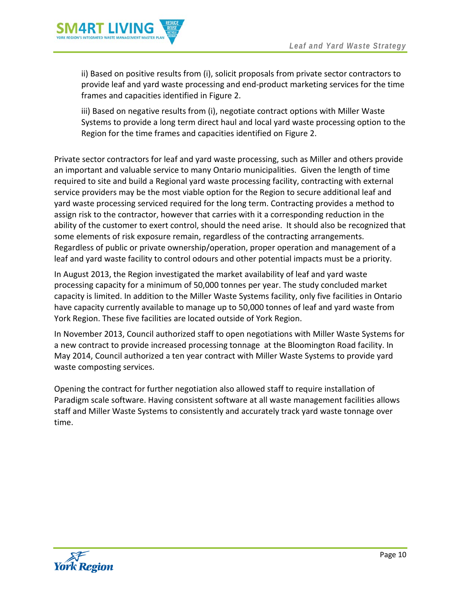

ii) Based on positive results from (i), solicit proposals from private sector contractors to provide leaf and yard waste processing and end-product marketing services for the time frames and capacities identified in Figure 2.

iii) Based on negative results from (i), negotiate contract options with Miller Waste Systems to provide a long term direct haul and local yard waste processing option to the Region for the time frames and capacities identified on Figure 2.

Private sector contractors for leaf and yard waste processing, such as Miller and others provide an important and valuable service to many Ontario municipalities. Given the length of time required to site and build a Regional yard waste processing facility, contracting with external service providers may be the most viable option for the Region to secure additional leaf and yard waste processing serviced required for the long term. Contracting provides a method to assign risk to the contractor, however that carries with it a corresponding reduction in the ability of the customer to exert control, should the need arise. It should also be recognized that some elements of risk exposure remain, regardless of the contracting arrangements. Regardless of public or private ownership/operation, proper operation and management of a leaf and yard waste facility to control odours and other potential impacts must be a priority.

In August 2013, the Region investigated the market availability of leaf and yard waste processing capacity for a minimum of 50,000 tonnes per year. The study concluded market capacity is limited. In addition to the Miller Waste Systems facility, only five facilities in Ontario have capacity currently available to manage up to 50,000 tonnes of leaf and yard waste from York Region. These five facilities are located outside of York Region.

In November 2013, Council authorized staff to open negotiations with Miller Waste Systems for a new contract to provide increased processing tonnage at the Bloomington Road facility. In May 2014, Council authorized a ten year contract with Miller Waste Systems to provide yard waste composting services.

Opening the contract for further negotiation also allowed staff to require installation of Paradigm scale software. Having consistent software at all waste management facilities allows staff and Miller Waste Systems to consistently and accurately track yard waste tonnage over time.

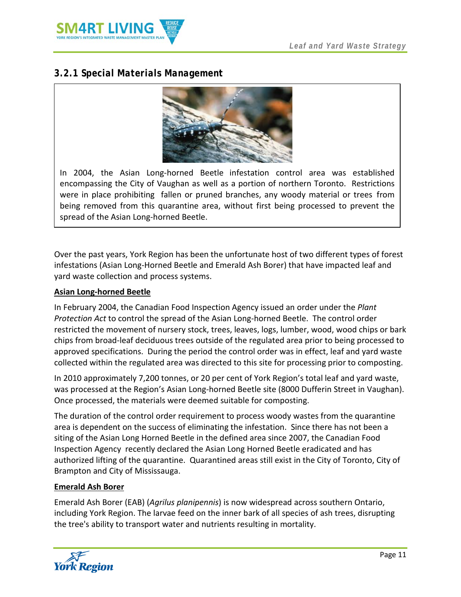

# <span id="page-13-0"></span>*3.2.1 Special Materials Management*



In 2004, the Asian Long-horned Beetle infestation control area was established encompassing the City of Vaughan as well as a portion of northern Toronto. Restrictions were in place prohibiting fallen or pruned branches, any woody material or trees from being removed from this quarantine area, without first being processed to prevent the spread of the Asian Long-horned Beetle.

Over the past years, York Region has been the unfortunate host of two different types of forest infestations (Asian Long-Horned Beetle and Emerald Ash Borer) that have impacted leaf and yard waste collection and process systems.

#### **Asian Long-horned Beetle**

In February 2004, the Canadian Food Inspection Agency issued an order under the *Plant Protection Act* to control the spread of the Asian Long-horned Beetle. The control order restricted the movement of nursery stock, trees, leaves, logs, lumber, wood, wood chips or bark chips from broad-leaf deciduous trees outside of the regulated area prior to being processed to approved specifications. During the period the control order was in effect, leaf and yard waste collected within the regulated area was directed to this site for processing prior to composting.

In 2010 approximately 7,200 tonnes, or 20 per cent of York Region's total leaf and yard waste, was processed at the Region's Asian Long-horned Beetle site (8000 Dufferin Street in Vaughan). Once processed, the materials were deemed suitable for composting.

The duration of the control order requirement to process woody wastes from the quarantine area is dependent on the success of eliminating the infestation. Since there has not been a siting of the Asian Long Horned Beetle in the defined area since 2007, the Canadian Food Inspection Agency recently declared the Asian Long Horned Beetle eradicated and has authorized lifting of the quarantine. Quarantined areas still exist in the City of Toronto, City of Brampton and City of Mississauga.

#### **Emerald Ash Borer**

Emerald Ash Borer (EAB) (*Agrilus planipennis*) is now widespread across southern Ontario, including York Region. The larvae feed on the inner bark of all species of ash trees, disrupting the tree's ability to transport water and nutrients resulting in mortality.

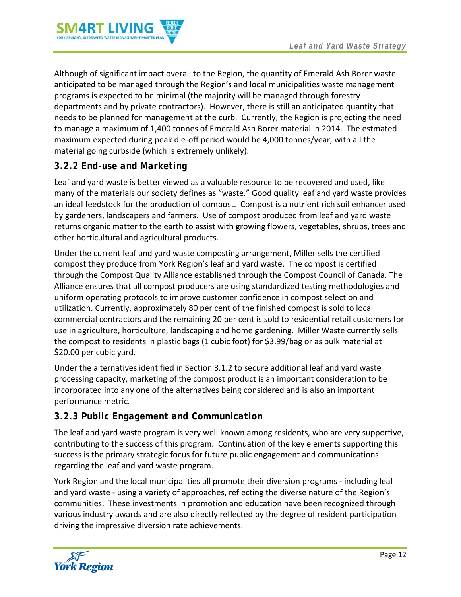

Although of significant impact overall to the Region, the quantity of Emerald Ash Borer waste anticipated to be managed through the Region's and local municipalities waste management programs is expected to be minimal (the majority will be managed through forestry departments and by private contractors). However, there is still an anticipated quantity that needs to be planned for management at the curb. Currently, the Region is projecting the need to manage a maximum of 1,400 tonnes of Emerald Ash Borer material in 2014. The estmated maximum expected during peak die-off period would be 4,000 tonnes/year, with all the material going curbside (which is extremely unlikely).

# <span id="page-14-0"></span>*3.2.2 End-use and Marketing*

Leaf and yard waste is better viewed as a valuable resource to be recovered and used, like many of the materials our society defines as "waste." Good quality leaf and yard waste provides an ideal feedstock for the production of compost. Compost is a nutrient rich soil enhancer used by gardeners, landscapers and farmers. Use of compost produced from leaf and yard waste returns organic matter to the earth to assist with growing flowers, vegetables, shrubs, trees and other horticultural and agricultural products.

Under the current leaf and yard waste composting arrangement, Miller sells the certified compost they produce from York Region's leaf and yard waste. The compost is certified through the Compost Quality Alliance established through the Compost Council of Canada. The Alliance ensures that all compost producers are using standardized testing methodologies and uniform operating protocols to improve customer confidence in compost selection and utilization. Currently, approximately 80 per cent of the finished compost is sold to local commercial contractors and the remaining 20 per cent is sold to residential retail customers for use in agriculture, horticulture, landscaping and home gardening. Miller Waste currently sells the compost to residents in plastic bags (1 cubic foot) for \$3.99/bag or as bulk material at \$20.00 per cubic yard.

Under the alternatives identified in Section [3.1.2](#page-10-0) to secure additional leaf and yard waste processing capacity, marketing of the compost product is an important consideration to be incorporated into any one of the alternatives being considered and is also an important performance metric.

# <span id="page-14-1"></span>*3.2.3 Public Engagement and Communication*

The leaf and yard waste program is very well known among residents, who are very supportive, contributing to the success of this program. Continuation of the key elements supporting this success is the primary strategic focus for future public engagement and communications regarding the leaf and yard waste program.

York Region and the local municipalities all promote their diversion programs - including leaf and yard waste - using a variety of approaches, reflecting the diverse nature of the Region's communities. These investments in promotion and education have been recognized through various industry awards and are also directly reflected by the degree of resident participation driving the impressive diversion rate achievements.

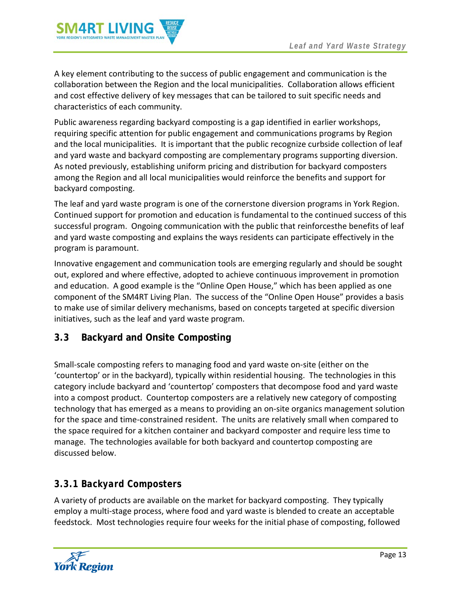

A key element contributing to the success of public engagement and communication is the collaboration between the Region and the local municipalities. Collaboration allows efficient and cost effective delivery of key messages that can be tailored to suit specific needs and characteristics of each community.

Public awareness regarding backyard composting is a gap identified in earlier workshops, requiring specific attention for public engagement and communications programs by Region and the local municipalities. It is important that the public recognize curbside collection of leaf and yard waste and backyard composting are complementary programs supporting diversion. As noted previously, establishing uniform pricing and distribution for backyard composters among the Region and all local municipalities would reinforce the benefits and support for backyard composting.

The leaf and yard waste program is one of the cornerstone diversion programs in York Region. Continued support for promotion and education is fundamental to the continued success of this successful program. Ongoing communication with the public that reinforcesthe benefits of leaf and yard waste composting and explains the ways residents can participate effectively in the program is paramount.

Innovative engagement and communication tools are emerging regularly and should be sought out, explored and where effective, adopted to achieve continuous improvement in promotion and education. A good example is the "Online Open House," which has been applied as one component of the SM4RT Living Plan. The success of the "Online Open House" provides a basis to make use of similar delivery mechanisms, based on concepts targeted at specific diversion initiatives, such as the leaf and yard waste program.

# <span id="page-15-0"></span>**3.3 Backyard and Onsite Composting**

Small-scale composting refers to managing food and yard waste on-site (either on the 'countertop' or in the backyard), typically within residential housing. The technologies in this category include backyard and 'countertop' composters that decompose food and yard waste into a compost product. Countertop composters are a relatively new category of composting technology that has emerged as a means to providing an on-site organics management solution for the space and time-constrained resident. The units are relatively small when compared to the space required for a kitchen container and backyard composter and require less time to manage. The technologies available for both backyard and countertop composting are discussed below.

# <span id="page-15-1"></span>*3.3.1 Backyard Composters*

A variety of products are available on the market for backyard composting. They typically employ a multi-stage process, where food and yard waste is blended to create an acceptable feedstock. Most technologies require four weeks for the initial phase of composting, followed

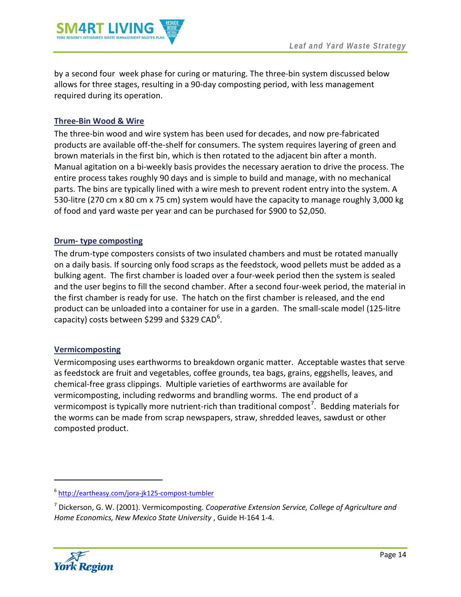

by a second four week phase for curing or maturing. The three-bin system discussed below allows for three stages, resulting in a 90-day composting period, with less management required during its operation.

#### **Three-Bin Wood & Wire**

The three-bin wood and wire system has been used for decades, and now pre-fabricated products are available off-the-shelf for consumers. The system requires layering of green and brown materials in the first bin, which is then rotated to the adjacent bin after a month. Manual agitation on a bi-weekly basis provides the necessary aeration to drive the process. The entire process takes roughly 90 days and is simple to build and manage, with no mechanical parts. The bins are typically lined with a wire mesh to prevent rodent entry into the system. A 530-litre (270 cm x 80 cm x 75 cm) system would have the capacity to manage roughly 3,000 kg of food and yard waste per year and can be purchased for \$900 to \$2,050.

#### **Drum- type composting**

The drum-type composters consists of two insulated chambers and must be rotated manually on a daily basis. If sourcing only food scraps as the feedstock, wood pellets must be added as a bulking agent. The first chamber is loaded over a four-week period then the system is sealed and the user begins to fill the second chamber. After a second four-week period, the material in the first chamber is ready for use. The hatch on the first chamber is released, and the end product can be unloaded into a container for use in a garden. The small-scale model (125-litre capacity) costs between \$299 and \$329 CAD<sup>[6](#page-9-3)</sup>.

#### **Vermicomposting**

Vermicomposing uses earthworms to breakdown organic matter. Acceptable wastes that serve as feedstock are fruit and vegetables, coffee grounds, tea bags, grains, eggshells, leaves, and chemical-free grass clippings. Multiple varieties of earthworms are available for vermicomposting, including redworms and brandling worms. The end product of a vermicompost is typically more nutrient-rich than traditional compost<sup>[7](#page-16-0)</sup>. Bedding materials for the worms can be made from scrap newspapers, straw, shredded leaves, sawdust or other composted product.

<span id="page-16-0"></span><sup>7</sup> Dickerson, G. W. (2001). Vermicomposting. *Cooperative Extension Service, College of Agriculture and Home Economics, New Mexico State University* , Guide H-164 1-4.



 $\overline{\phantom{a}}$ 

<sup>6</sup> <http://eartheasy.com/jora-jk125-compost-tumbler>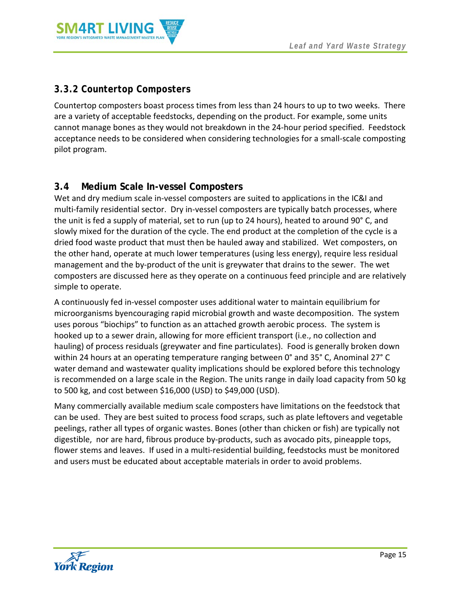

# <span id="page-17-0"></span>*3.3.2 Countertop Composters*

Countertop composters boast process times from less than 24 hours to up to two weeks. There are a variety of acceptable feedstocks, depending on the product. For example, some units cannot manage bones as they would not breakdown in the 24-hour period specified. Feedstock acceptance needs to be considered when considering technologies for a small-scale composting pilot program.

# <span id="page-17-1"></span>**3.4 Medium Scale In-vessel Composters**

Wet and dry medium scale in-vessel composters are suited to applications in the IC&I and multi-family residential sector. Dry in-vessel composters are typically batch processes, where the unit is fed a supply of material, set to run (up to 24 hours), heated to around 90° C, and slowly mixed for the duration of the cycle. The end product at the completion of the cycle is a dried food waste product that must then be hauled away and stabilized. Wet composters, on the other hand, operate at much lower temperatures (using less energy), require less residual management and the by-product of the unit is greywater that drains to the sewer. The wet composters are discussed here as they operate on a continuous feed principle and are relatively simple to operate.

A continuously fed in-vessel composter uses additional water to maintain equilibrium for microorganisms byencouraging rapid microbial growth and waste decomposition. The system uses porous "biochips" to function as an attached growth aerobic process. The system is hooked up to a sewer drain, allowing for more efficient transport (i.e., no collection and hauling) of process residuals (greywater and fine particulates). Food is generally broken down within 24 hours at an operating temperature ranging between 0° and 35° C, Anominal 27° C water demand and wastewater quality implications should be explored before this technology is recommended on a large scale in the Region. The units range in daily load capacity from 50 kg to 500 kg, and cost between \$16,000 (USD) to \$49,000 (USD).

Many commercially available medium scale composters have limitations on the feedstock that can be used. They are best suited to process food scraps, such as plate leftovers and vegetable peelings, rather all types of organic wastes. Bones (other than chicken or fish) are typically not digestible, nor are hard, fibrous produce by-products, such as avocado pits, pineapple tops, flower stems and leaves. If used in a multi-residential building, feedstocks must be monitored and users must be educated about acceptable materials in order to avoid problems.

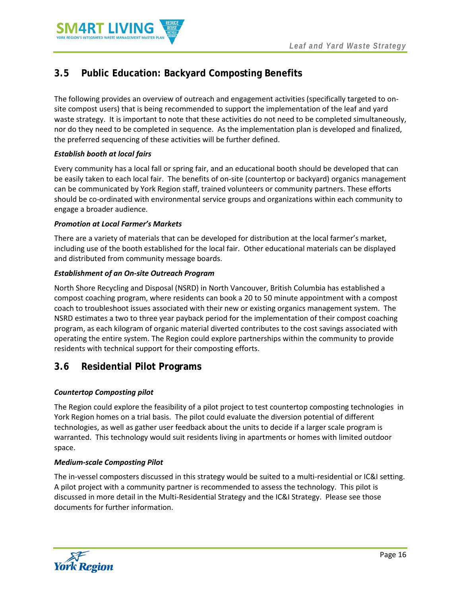

# <span id="page-18-0"></span>**3.5 Public Education: Backyard Composting Benefits**

The following provides an overview of outreach and engagement activities (specifically targeted to onsite compost users) that is being recommended to support the implementation of the leaf and yard waste strategy. It is important to note that these activities do not need to be completed simultaneously, nor do they need to be completed in sequence. As the implementation plan is developed and finalized, the preferred sequencing of these activities will be further defined.

#### *Establish booth at local fairs*

Every community has a local fall or spring fair, and an educational booth should be developed that can be easily taken to each local fair. The benefits of on-site (countertop or backyard) organics management can be communicated by York Region staff, trained volunteers or community partners. These efforts should be co-ordinated with environmental service groups and organizations within each community to engage a broader audience.

#### *Promotion at Local Farmer's Markets*

There are a variety of materials that can be developed for distribution at the local farmer's market, including use of the booth established for the local fair. Other educational materials can be displayed and distributed from community message boards.

#### *Establishment of an On-site Outreach Program*

North Shore Recycling and Disposal (NSRD) in North Vancouver, British Columbia has established a compost coaching program, where residents can book a 20 to 50 minute appointment with a compost coach to troubleshoot issues associated with their new or existing organics management system. The NSRD estimates a two to three year payback period for the implementation of their compost coaching program, as each kilogram of organic material diverted contributes to the cost savings associated with operating the entire system. The Region could explore partnerships within the community to provide residents with technical support for their composting efforts.

# **3.6 Residential Pilot Programs**

#### *Countertop Composting pilot*

The Region could explore the feasibility of a pilot project to test countertop composting technologies in York Region homes on a trial basis. The pilot could evaluate the diversion potential of different technologies, as well as gather user feedback about the units to decide if a larger scale program is warranted. This technology would suit residents living in apartments or homes with limited outdoor space.

#### *Medium-scale Composting Pilot*

The in-vessel composters discussed in this strategy would be suited to a multi-residential or IC&I setting. A pilot project with a community partner is recommended to assess the technology. This pilot is discussed in more detail in the Multi-Residential Strategy and the IC&I Strategy. Please see those documents for further information.

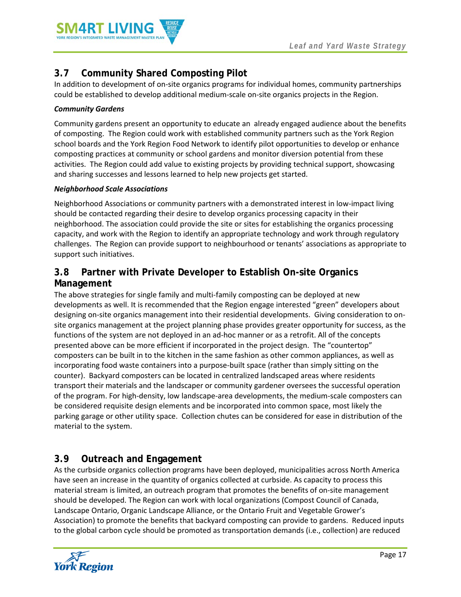

# **3.7 Community Shared Composting Pilot**

In addition to development of on-site organics programs for individual homes, community partnerships could be established to develop additional medium-scale on-site organics projects in the Region.

#### *Community Gardens*

Community gardens present an opportunity to educate an already engaged audience about the benefits of composting. The Region could work with established community partners such as the York Region school boards and the York Region Food Network to identify pilot opportunities to develop or enhance composting practices at community or school gardens and monitor diversion potential from these activities. The Region could add value to existing projects by providing technical support, showcasing and sharing successes and lessons learned to help new projects get started.

#### *Neighborhood Scale Associations*

Neighborhood Associations or community partners with a demonstrated interest in low-impact living should be contacted regarding their desire to develop organics processing capacity in their neighborhood. The association could provide the site or sites for establishing the organics processing capacity, and work with the Region to identify an appropriate technology and work through regulatory challenges. The Region can provide support to neighbourhood or tenants' associations as appropriate to support such initiatives.

### **3.8 Partner with Private Developer to Establish On-site Organics Management**

The above strategies for single family and multi-family composting can be deployed at new developments as well. It is recommended that the Region engage interested "green" developers about designing on-site organics management into their residential developments. Giving consideration to onsite organics management at the project planning phase provides greater opportunity for success, as the functions of the system are not deployed in an ad-hoc manner or as a retrofit. All of the concepts presented above can be more efficient if incorporated in the project design. The "countertop" composters can be built in to the kitchen in the same fashion as other common appliances, as well as incorporating food waste containers into a purpose-built space (rather than simply sitting on the counter). Backyard composters can be located in centralized landscaped areas where residents transport their materials and the landscaper or community gardener oversees the successful operation of the program. For high-density, low landscape-area developments, the medium-scale composters can be considered requisite design elements and be incorporated into common space, most likely the parking garage or other utility space. Collection chutes can be considered for ease in distribution of the material to the system.

# **3.9 Outreach and Engagement**

As the curbside organics collection programs have been deployed, municipalities across North America have seen an increase in the quantity of organics collected at curbside. As capacity to process this material stream is limited, an outreach program that promotes the benefits of on-site management should be developed. The Region can work with local organizations (Compost Council of Canada, Landscape Ontario, Organic Landscape Alliance, or the Ontario Fruit and Vegetable Grower's Association) to promote the benefits that backyard composting can provide to gardens. Reduced inputs to the global carbon cycle should be promoted as transportation demands (i.e., collection) are reduced

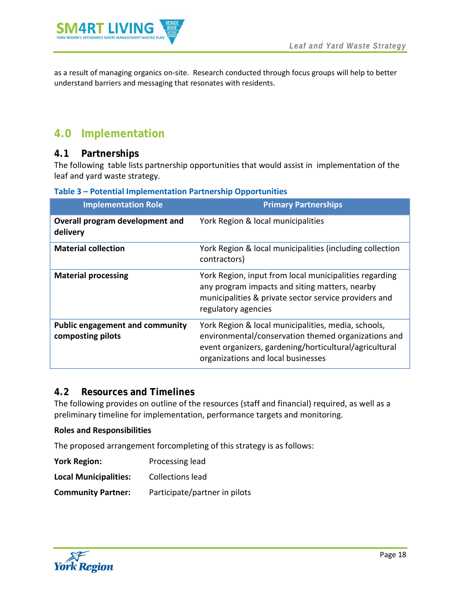

as a result of managing organics on-site. Research conducted through focus groups will help to better understand barriers and messaging that resonates with residents.

# <span id="page-20-0"></span>**4.0 Implementation**

### <span id="page-20-1"></span>**4.1 Partnerships**

The following table lists partnership opportunities that would assist in implementation of the leaf and yard waste strategy.

<span id="page-20-3"></span>

| <b>Implementation Role</b>                                  | <b>Primary Partnerships</b>                                                                                                                                                                                |
|-------------------------------------------------------------|------------------------------------------------------------------------------------------------------------------------------------------------------------------------------------------------------------|
| Overall program development and<br>delivery                 | York Region & local municipalities                                                                                                                                                                         |
| <b>Material collection</b>                                  | York Region & local municipalities (including collection<br>contractors)                                                                                                                                   |
| <b>Material processing</b>                                  | York Region, input from local municipalities regarding<br>any program impacts and siting matters, nearby<br>municipalities & private sector service providers and<br>regulatory agencies                   |
| <b>Public engagement and community</b><br>composting pilots | York Region & local municipalities, media, schools,<br>environmental/conservation themed organizations and<br>event organizers, gardening/horticultural/agricultural<br>organizations and local businesses |

#### <span id="page-20-2"></span>**4.2 Resources and Timelines**

The following provides on outline of the resources (staff and financial) required, as well as a preliminary timeline for implementation, performance targets and monitoring.

#### **Roles and Responsibilities**

The proposed arrangement forcompleting of this strategy is as follows:

| <b>York Region:</b>          | Processing lead               |
|------------------------------|-------------------------------|
| <b>Local Municipalities:</b> | <b>Collections lead</b>       |
| <b>Community Partner:</b>    | Participate/partner in pilots |

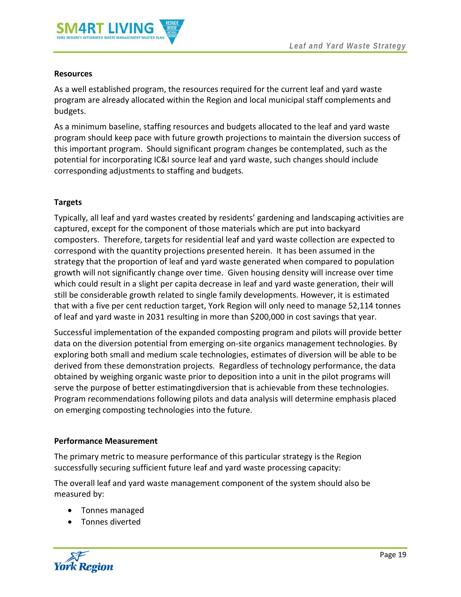

#### **Resources**

As a well established program, the resources required for the current leaf and yard waste program are already allocated within the Region and local municipal staff complements and budgets.

As a minimum baseline, staffing resources and budgets allocated to the leaf and yard waste program should keep pace with future growth projections to maintain the diversion success of this important program. Should significant program changes be contemplated, such as the potential for incorporating IC&I source leaf and yard waste, such changes should include corresponding adjustments to staffing and budgets.

#### **Targets**

Typically, all leaf and yard wastes created by residents' gardening and landscaping activities are captured, except for the component of those materials which are put into backyard composters. Therefore, targets for residential leaf and yard waste collection are expected to correspond with the quantity projections presented herein. It has been assumed in the strategy that the proportion of leaf and yard waste generated when compared to population growth will not significantly change over time. Given housing density will increase over time which could result in a slight per capita decrease in leaf and yard waste generation, their will still be considerable growth related to single family developments. However, it is estimated that with a five per cent reduction target, York Region will only need to manage 52,114 tonnes of leaf and yard waste in 2031 resulting in more than \$200,000 in cost savings that year.

Successful implementation of the expanded composting program and pilots will provide better data on the diversion potential from emerging on-site organics management technologies. By exploring both small and medium scale technologies, estimates of diversion will be able to be derived from these demonstration projects. Regardless of technology performance, the data obtained by weighing organic waste prior to deposition into a unit in the pilot programs will serve the purpose of better estimatingdiversion that is achievable from these technologies. Program recommendations following pilots and data analysis will determine emphasis placed on emerging composting technologies into the future.

#### **Performance Measurement**

The primary metric to measure performance of this particular strategy is the Region successfully securing sufficient future leaf and yard waste processing capacity:

The overall leaf and yard waste management component of the system should also be measured by:

- Tonnes managed
- Tonnes diverted